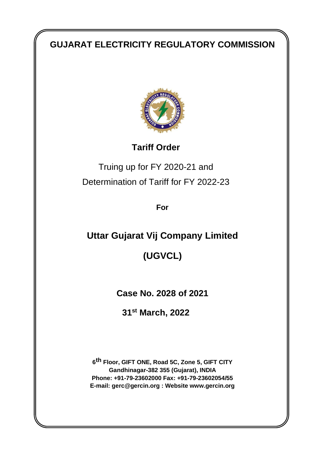# **GUJARAT ELECTRICITY REGULATORY COMMISSION**



**Tariff Order**

Truing up for FY 2020-21 and Determination of Tariff for FY 2022-23

**For**

**Uttar Gujarat Vij Company Limited**

**(UGVCL)**

**Case No. 2028 of 2021**

**31st March, 2022**

**6 th Floor, GIFT ONE, Road 5C, Zone 5, GIFT CITY Gandhinagar-382 355 (Gujarat), INDIA Phone: +91-79-23602000 Fax: +91-79-23602054/55 E-mail: gerc@gercin.org : Website www.gercin.org**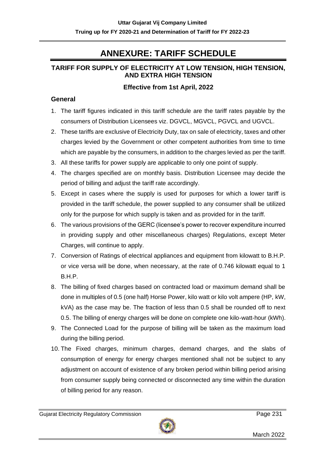# **ANNEXURE: TARIFF SCHEDULE**

## **TARIFF FOR SUPPLY OF ELECTRICITY AT LOW TENSION, HIGH TENSION, AND EXTRA HIGH TENSION**

## **Effective from 1st April, 2022**

### **General**

- 1. The tariff figures indicated in this tariff schedule are the tariff rates payable by the consumers of Distribution Licensees viz. DGVCL, MGVCL, PGVCL and UGVCL.
- 2. These tariffs are exclusive of Electricity Duty, tax on sale of electricity, taxes and other charges levied by the Government or other competent authorities from time to time which are payable by the consumers, in addition to the charges levied as per the tariff.
- 3. All these tariffs for power supply are applicable to only one point of supply.
- 4. The charges specified are on monthly basis. Distribution Licensee may decide the period of billing and adjust the tariff rate accordingly.
- 5. Except in cases where the supply is used for purposes for which a lower tariff is provided in the tariff schedule, the power supplied to any consumer shall be utilized only for the purpose for which supply is taken and as provided for in the tariff.
- 6. The various provisions of the GERC (licensee's power to recover expenditure incurred in providing supply and other miscellaneous charges) Regulations, except Meter Charges, will continue to apply.
- 7. Conversion of Ratings of electrical appliances and equipment from kilowatt to B.H.P. or vice versa will be done, when necessary, at the rate of 0.746 kilowatt equal to 1 B.H.P.
- 8. The billing of fixed charges based on contracted load or maximum demand shall be done in multiples of 0.5 (one half) Horse Power, kilo watt or kilo volt ampere (HP, kW, kVA) as the case may be. The fraction of less than 0.5 shall be rounded off to next 0.5. The billing of energy charges will be done on complete one kilo-watt-hour (kWh).
- 9. The Connected Load for the purpose of billing will be taken as the maximum load during the billing period.
- 10. The Fixed charges, minimum charges, demand charges, and the slabs of consumption of energy for energy charges mentioned shall not be subject to any adjustment on account of existence of any broken period within billing period arising from consumer supply being connected or disconnected any time within the duration of billing period for any reason.

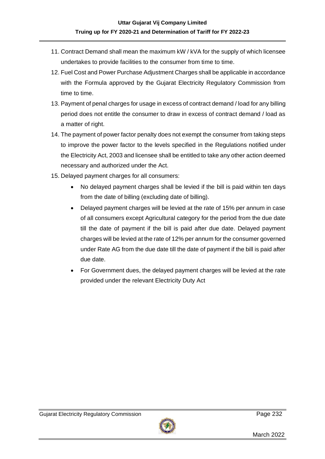- 11. Contract Demand shall mean the maximum kW / kVA for the supply of which licensee undertakes to provide facilities to the consumer from time to time.
- 12. Fuel Cost and Power Purchase Adjustment Charges shall be applicable in accordance with the Formula approved by the Gujarat Electricity Regulatory Commission from time to time.
- 13. Payment of penal charges for usage in excess of contract demand / load for any billing period does not entitle the consumer to draw in excess of contract demand / load as a matter of right.
- 14. The payment of power factor penalty does not exempt the consumer from taking steps to improve the power factor to the levels specified in the Regulations notified under the Electricity Act, 2003 and licensee shall be entitled to take any other action deemed necessary and authorized under the Act.
- 15. Delayed payment charges for all consumers:
	- No delayed payment charges shall be levied if the bill is paid within ten days from the date of billing (excluding date of billing).
	- Delayed payment charges will be levied at the rate of 15% per annum in case of all consumers except Agricultural category for the period from the due date till the date of payment if the bill is paid after due date. Delayed payment charges will be levied at the rate of 12% per annum for the consumer governed under Rate AG from the due date till the date of payment if the bill is paid after due date.
	- For Government dues, the delayed payment charges will be levied at the rate provided under the relevant Electricity Duty Act

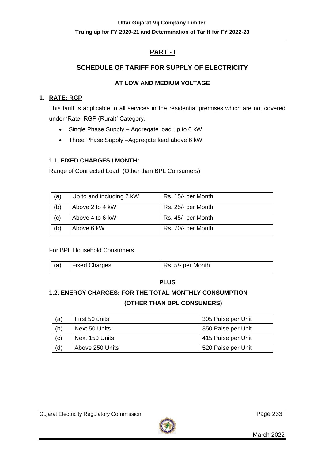## **PART - I**

## **SCHEDULE OF TARIFF FOR SUPPLY OF ELECTRICITY**

## **AT LOW AND MEDIUM VOLTAGE**

## **1. RATE: RGP**

This tariff is applicable to all services in the residential premises which are not covered under 'Rate: RGP (Rural)' Category.

- Single Phase Supply Aggregate load up to 6 kW
- Three Phase Supply –Aggregate load above 6 kW

## **1.1. FIXED CHARGES / MONTH:**

Range of Connected Load: (Other than BPL Consumers)

| (a) | Up to and including 2 kW | Rs. 15/- per Month |
|-----|--------------------------|--------------------|
| (b) | Above 2 to 4 kW          | Rs. 25/- per Month |
| (c) | Above 4 to 6 kW          | Rs. 45/- per Month |
| (b) | Above 6 kW               | Rs. 70/- per Month |

## For BPL Household Consumers

| (a) | <b>Fixed Charges</b> | Rs. 5/- per Month |
|-----|----------------------|-------------------|
|-----|----------------------|-------------------|

#### **PLUS**

## **1.2. ENERGY CHARGES: FOR THE TOTAL MONTHLY CONSUMPTION (OTHER THAN BPL CONSUMERS)**

| (a) | First 50 units  | 305 Paise per Unit |
|-----|-----------------|--------------------|
| (b) | Next 50 Units   | 350 Paise per Unit |
| (c) | Next 150 Units  | 415 Paise per Unit |
| (d) | Above 250 Units | 520 Paise per Unit |

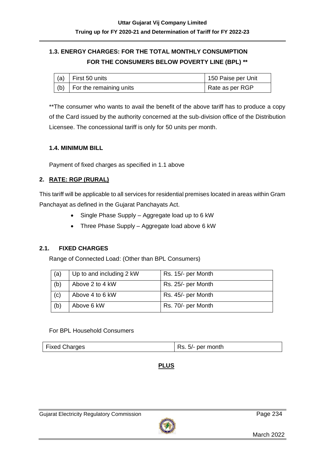## **1.3. ENERGY CHARGES: FOR THE TOTAL MONTHLY CONSUMPTION FOR THE CONSUMERS BELOW POVERTY LINE (BPL) \*\***

| $(a)$ First 50 units                | 150 Paise per Unit |
|-------------------------------------|--------------------|
| $\vert$ (b) For the remaining units | Rate as per RGP    |

\*\*The consumer who wants to avail the benefit of the above tariff has to produce a copy of the Card issued by the authority concerned at the sub-division office of the Distribution Licensee. The concessional tariff is only for 50 units per month.

#### **1.4. MINIMUM BILL**

Payment of fixed charges as specified in 1.1 above

### **2. RATE: RGP (RURAL)**

This tariff will be applicable to all services for residential premises located in areas within Gram Panchayat as defined in the Gujarat Panchayats Act.

- Single Phase Supply Aggregate load up to 6 kW
- Three Phase Supply Aggregate load above 6 kW

#### **2.1. FIXED CHARGES**

Range of Connected Load: (Other than BPL Consumers)

| (a) | Up to and including 2 kW | Rs. 15/- per Month |
|-----|--------------------------|--------------------|
| (b) | Above 2 to 4 kW          | Rs. 25/- per Month |
| (c) | Above 4 to 6 kW          | Rs. 45/- per Month |
| (b) | Above 6 kW               | Rs. 70/- per Month |

#### For BPL Household Consumers

|--|

## **PLUS**

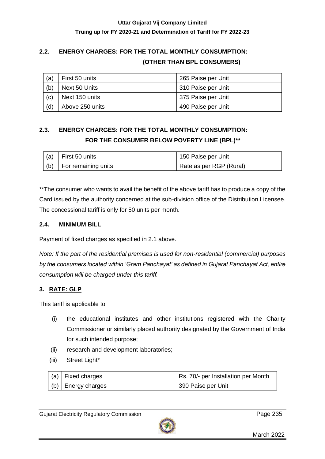## **2.2. ENERGY CHARGES: FOR THE TOTAL MONTHLY CONSUMPTION: (OTHER THAN BPL CONSUMERS)**

| (a) | First 50 units  | 265 Paise per Unit |
|-----|-----------------|--------------------|
| (b) | Next 50 Units   | 310 Paise per Unit |
| (c) | Next 150 units  | 375 Paise per Unit |
| (d) | Above 250 units | 490 Paise per Unit |

## **2.3. ENERGY CHARGES: FOR THE TOTAL MONTHLY CONSUMPTION: FOR THE CONSUMER BELOW POVERTY LINE (BPL)\*\***

| (a) First 50 units        | 150 Paise per Unit      |
|---------------------------|-------------------------|
| $(6)$ For remaining units | Rate as per RGP (Rural) |

\*\*The consumer who wants to avail the benefit of the above tariff has to produce a copy of the Card issued by the authority concerned at the sub-division office of the Distribution Licensee. The concessional tariff is only for 50 units per month.

### **2.4. MINIMUM BILL**

Payment of fixed charges as specified in 2.1 above.

*Note: If the part of the residential premises is used for non-residential (commercial) purposes by the consumers located within 'Gram Panchayat' as defined in Gujarat Panchayat Act, entire consumption will be charged under this tariff.*

## **3. RATE: GLP**

This tariff is applicable to

- (i) the educational institutes and other institutions registered with the Charity Commissioner or similarly placed authority designated by the Government of India for such intended purpose;
- (ii) research and development laboratories;
- (iii) Street Light\*

| $ $ (a) Fixed charges      | Rs. 70/- per Installation per Month |
|----------------------------|-------------------------------------|
| $ $ (b) $ $ Energy charges | 390 Paise per Unit                  |

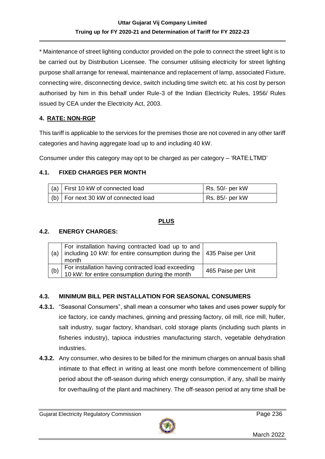\* Maintenance of street lighting conductor provided on the pole to connect the street light is to be carried out by Distribution Licensee. The consumer utilising electricity for street lighting purpose shall arrange for renewal, maintenance and replacement of lamp, associated Fixture, connecting wire, disconnecting device, switch including time switch etc. at his cost by person authorised by him in this behalf under Rule-3 of the Indian Electricity Rules, 1956/ Rules issued by CEA under the Electricity Act, 2003.

## **4. RATE: NON-RGP**

This tariff is applicable to the services for the premises those are not covered in any other tariff categories and having aggregate load up to and including 40 kW.

Consumer under this category may opt to be charged as per category – 'RATE:LTMD'

## **4.1. FIXED CHARGES PER MONTH**

| (a) $\vert$ First 10 kW of connected load | Rs. 50/- per kW |
|-------------------------------------------|-----------------|
| $(b)$ For next 30 kW of connected load    | Rs. 85/- per kW |

## **PLUS**

### **4.2. ENERGY CHARGES:**

| (a) | For installation having contracted load up to and<br>  including 10 kW: for entire consumption during the   435 Paise per Unit<br>month |                    |
|-----|-----------------------------------------------------------------------------------------------------------------------------------------|--------------------|
| (b) | For installation having contracted load exceeding<br>10 kW: for entire consumption during the month                                     | 465 Paise per Unit |

## **4.3. MINIMUM BILL PER INSTALLATION FOR SEASONAL CONSUMERS**

- **4.3.1.** "Seasonal Consumers", shall mean a consumer who takes and uses power supply for ice factory, ice candy machines, ginning and pressing factory, oil mill, rice mill, huller, salt industry, sugar factory, khandsari, cold storage plants (including such plants in fisheries industry), tapioca industries manufacturing starch, vegetable dehydration industries.
- **4.3.2.** Any consumer, who desires to be billed for the minimum charges on annual basis shall intimate to that effect in writing at least one month before commencement of billing period about the off-season during which energy consumption, if any, shall be mainly for overhauling of the plant and machinery. The off-season period at any time shall be

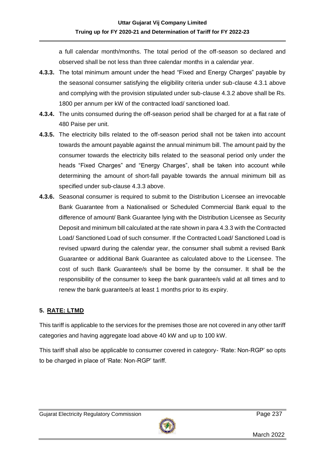a full calendar month/months. The total period of the off-season so declared and observed shall be not less than three calendar months in a calendar year.

- **4.3.3.** The total minimum amount under the head "Fixed and Energy Charges" payable by the seasonal consumer satisfying the eligibility criteria under sub-clause 4.3.1 above and complying with the provision stipulated under sub-clause 4.3.2 above shall be Rs. 1800 per annum per kW of the contracted load/ sanctioned load.
- **4.3.4.** The units consumed during the off-season period shall be charged for at a flat rate of 480 Paise per unit.
- **4.3.5.** The electricity bills related to the off-season period shall not be taken into account towards the amount payable against the annual minimum bill. The amount paid by the consumer towards the electricity bills related to the seasonal period only under the heads "Fixed Charges" and "Energy Charges", shall be taken into account while determining the amount of short-fall payable towards the annual minimum bill as specified under sub-clause 4.3.3 above.
- **4.3.6.** Seasonal consumer is required to submit to the Distribution Licensee an irrevocable Bank Guarantee from a Nationalised or Scheduled Commercial Bank equal to the difference of amount/ Bank Guarantee lying with the Distribution Licensee as Security Deposit and minimum bill calculated at the rate shown in para 4.3.3 with the Contracted Load/ Sanctioned Load of such consumer. If the Contracted Load/ Sanctioned Load is revised upward during the calendar year, the consumer shall submit a revised Bank Guarantee or additional Bank Guarantee as calculated above to the Licensee. The cost of such Bank Guarantee/s shall be borne by the consumer. It shall be the responsibility of the consumer to keep the bank guarantee/s valid at all times and to renew the bank guarantee/s at least 1 months prior to its expiry.

## **5. RATE: LTMD**

This tariff is applicable to the services for the premises those are not covered in any other tariff categories and having aggregate load above 40 kW and up to 100 kW.

This tariff shall also be applicable to consumer covered in category- 'Rate: Non-RGP' so opts to be charged in place of 'Rate: Non-RGP' tariff.

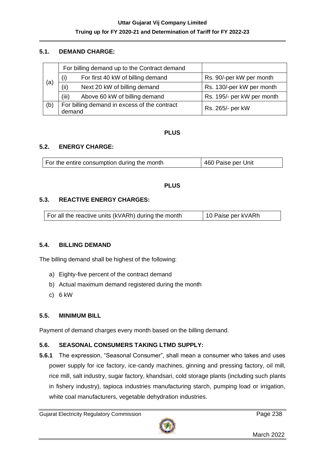#### **5.1. DEMAND CHARGE:**

|     |                                                        | For billing demand up to the Contract demand |                            |
|-----|--------------------------------------------------------|----------------------------------------------|----------------------------|
|     | (i)                                                    | For first 40 kW of billing demand            | Rs. 90/-per kW per month   |
| (a) | (ii)                                                   | Next 20 kW of billing demand                 | Rs. 130/-per kW per month  |
|     | (iii)                                                  | Above 60 kW of billing demand                | Rs. 195/- per kW per month |
| (b) | For billing demand in excess of the contract<br>demand |                                              | Rs. 265/- per kW           |

#### **PLUS**

#### **5.2. ENERGY CHARGE:**

| For the entire consumption during the month | 460 Paise per Unit |
|---------------------------------------------|--------------------|
|---------------------------------------------|--------------------|

#### **PLUS**

#### **5.3. REACTIVE ENERGY CHARGES:**

| For all the reactive units (kVARh) during the month | 10 Paise per kVARh |
|-----------------------------------------------------|--------------------|
|-----------------------------------------------------|--------------------|

#### **5.4. BILLING DEMAND**

The billing demand shall be highest of the following:

- a) Eighty-five percent of the contract demand
- b) Actual maximum demand registered during the month
- c) 6 kW

#### **5.5. MINIMUM BILL**

Payment of demand charges every month based on the billing demand.

#### **5.6. SEASONAL CONSUMERS TAKING LTMD SUPPLY:**

**5.6.1** The expression, "Seasonal Consumer", shall mean a consumer who takes and uses power supply for ice factory, ice-candy machines, ginning and pressing factory, oil mill, rice mill, salt industry, sugar factory, khandsari, cold storage plants (including such plants in fishery industry), tapioca industries manufacturing starch, pumping load or irrigation, white coal manufacturers, vegetable dehydration industries.

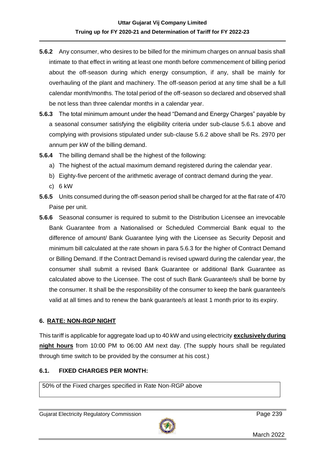- **5.6.2** Any consumer, who desires to be billed for the minimum charges on annual basis shall intimate to that effect in writing at least one month before commencement of billing period about the off-season during which energy consumption, if any, shall be mainly for overhauling of the plant and machinery. The off-season period at any time shall be a full calendar month/months. The total period of the off-season so declared and observed shall be not less than three calendar months in a calendar year.
- **5.6.3** The total minimum amount under the head "Demand and Energy Charges" payable by a seasonal consumer satisfying the eligibility criteria under sub-clause 5.6.1 above and complying with provisions stipulated under sub-clause 5.6.2 above shall be Rs. 2970 per annum per kW of the billing demand.
- **5.6.4** The billing demand shall be the highest of the following:
	- a) The highest of the actual maximum demand registered during the calendar year.
	- b) Eighty-five percent of the arithmetic average of contract demand during the year.
	- c) 6 kW
- **5.6.5** Units consumed during the off-season period shall be charged for at the flat rate of 470 Paise per unit.
- **5.6.6** Seasonal consumer is required to submit to the Distribution Licensee an irrevocable Bank Guarantee from a Nationalised or Scheduled Commercial Bank equal to the difference of amount/ Bank Guarantee lying with the Licensee as Security Deposit and minimum bill calculated at the rate shown in para 5.6.3 for the higher of Contract Demand or Billing Demand. If the Contract Demand is revised upward during the calendar year, the consumer shall submit a revised Bank Guarantee or additional Bank Guarantee as calculated above to the Licensee. The cost of such Bank Guarantee/s shall be borne by the consumer. It shall be the responsibility of the consumer to keep the bank guarantee/s valid at all times and to renew the bank guarantee/s at least 1 month prior to its expiry.

#### **6. RATE: NON-RGP NIGHT**

This tariff is applicable for aggregate load up to 40 kW and using electricity **exclusively during night hours** from 10:00 PM to 06:00 AM next day. (The supply hours shall be regulated through time switch to be provided by the consumer at his cost.)

#### **6.1. FIXED CHARGES PER MONTH:**

50% of the Fixed charges specified in Rate Non-RGP above

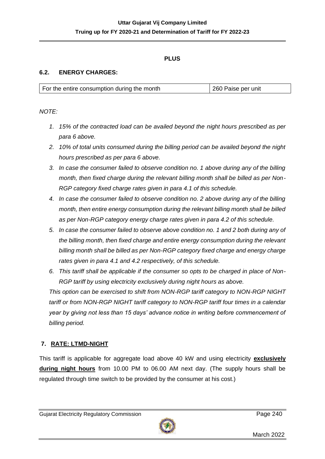### **PLUS**

#### **6.2. ENERGY CHARGES:**

| For the entire consumption during the month | 260 Paise per unit |
|---------------------------------------------|--------------------|

*NOTE:*

- *1. 15% of the contracted load can be availed beyond the night hours prescribed as per para 6 above.*
- *2. 10% of total units consumed during the billing period can be availed beyond the night hours prescribed as per para 6 above.*
- *3. In case the consumer failed to observe condition no. 1 above during any of the billing month, then fixed charge during the relevant billing month shall be billed as per Non-RGP category fixed charge rates given in para 4.1 of this schedule.*
- *4. In case the consumer failed to observe condition no. 2 above during any of the billing month, then entire energy consumption during the relevant billing month shall be billed as per Non-RGP category energy charge rates given in para 4.2 of this schedule.*
- *5. In case the consumer failed to observe above condition no. 1 and 2 both during any of the billing month, then fixed charge and entire energy consumption during the relevant billing month shall be billed as per Non-RGP category fixed charge and energy charge rates given in para 4.1 and 4.2 respectively, of this schedule.*
- *6. This tariff shall be applicable if the consumer so opts to be charged in place of Non-RGP tariff by using electricity exclusively during night hours as above.*

*This option can be exercised to shift from NON-RGP tariff category to NON-RGP NIGHT tariff or from NON-RGP NIGHT tariff category to NON-RGP tariff four times in a calendar year by giving not less than 15 days' advance notice in writing before commencement of billing period.*

#### **7. RATE: LTMD-NIGHT**

This tariff is applicable for aggregate load above 40 kW and using electricity **exclusively during night hours** from 10.00 PM to 06.00 AM next day. (The supply hours shall be regulated through time switch to be provided by the consumer at his cost.)

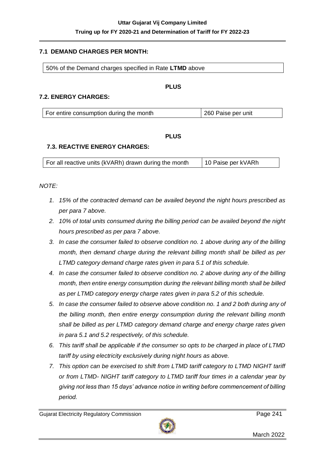#### **7.1 DEMAND CHARGES PER MONTH:**

50% of the Demand charges specified in Rate **LTMD** above

#### **PLUS**

#### **7.2. ENERGY CHARGES:**

| 260 Paise per unit<br>For entire consumption during the month |
|---------------------------------------------------------------|
|---------------------------------------------------------------|

#### **PLUS**

#### **7.3. REACTIVE ENERGY CHARGES:**

|  | For all reactive units (kVARh) drawn during the month | 10 Paise per kVARh |
|--|-------------------------------------------------------|--------------------|
|--|-------------------------------------------------------|--------------------|

#### *NOTE:*

- *1. 15% of the contracted demand can be availed beyond the night hours prescribed as per para 7 above.*
- *2. 10% of total units consumed during the billing period can be availed beyond the night hours prescribed as per para 7 above.*
- *3. In case the consumer failed to observe condition no. 1 above during any of the billing month, then demand charge during the relevant billing month shall be billed as per LTMD category demand charge rates given in para 5.1 of this schedule.*
- *4. In case the consumer failed to observe condition no. 2 above during any of the billing month, then entire energy consumption during the relevant billing month shall be billed as per LTMD category energy charge rates given in para 5.2 of this schedule.*
- *5. In case the consumer failed to observe above condition no. 1 and 2 both during any of the billing month, then entire energy consumption during the relevant billing month shall be billed as per LTMD category demand charge and energy charge rates given in para 5.1 and 5.2 respectively, of this schedule.*
- *6. This tariff shall be applicable if the consumer so opts to be charged in place of LTMD tariff by using electricity exclusively during night hours as above.*
- *7. This option can be exercised to shift from LTMD tariff category to LTMD NIGHT tariff or from LTMD- NIGHT tariff category to LTMD tariff four times in a calendar year by giving not less than 15 days' advance notice in writing before commencement of billing period.*

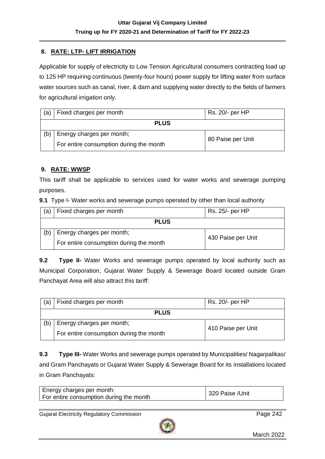### **8. RATE: LTP- LIFT IRRIGATION**

Applicable for supply of electricity to Low Tension Agricultural consumers contracting load up to 125 HP requiring continuous (twenty-four hours) power supply for lifting water from surface water sources such as canal, river, & dam and supplying water directly to the fields of farmers for agricultural irrigation only.

| (a)         | Fixed charges per month                 | Rs. 20/- per HP   |
|-------------|-----------------------------------------|-------------------|
| <b>PLUS</b> |                                         |                   |
| (b)         | Energy charges per month;               | 80 Paise per Unit |
|             | For entire consumption during the month |                   |

#### **9. RATE: WWSP**

This tariff shall be applicable to services used for water works and sewerage pumping purposes.

**9.1** Type I- Water works and sewerage pumps operated by other than local authority

| (a)         | Fixed charges per month                 | Rs. 25/- per HP    |
|-------------|-----------------------------------------|--------------------|
| <b>PLUS</b> |                                         |                    |
| (b)         | Energy charges per month;               | 430 Paise per Unit |
|             | For entire consumption during the month |                    |

**9.2 Type II-** Water Works and sewerage pumps operated by local authority such as Municipal Corporation, Gujarat Water Supply & Sewerage Board located outside Gram Panchayat Area will also attract this tariff:

| (a)         | Fixed charges per month                 | Rs. 20/- per HP    |
|-------------|-----------------------------------------|--------------------|
| <b>PLUS</b> |                                         |                    |
| (b)         | Energy charges per month;               | 410 Paise per Unit |
|             | For entire consumption during the month |                    |

**9.3 Type III-** Water Works and sewerage pumps operated by Municipalities/ Nagarpalikas/ and Gram Panchayats or Gujarat Water Supply & Sewerage Board for its installations located in Gram Panchayats:

| For entire consumption during the month | Energy charges per month: | 320 Paise / Unit |
|-----------------------------------------|---------------------------|------------------|
|-----------------------------------------|---------------------------|------------------|

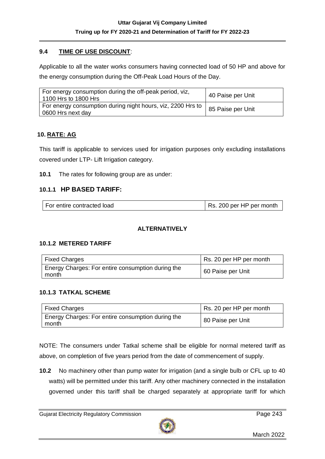## **9.4 TIME OF USE DISCOUNT**:

Applicable to all the water works consumers having connected load of 50 HP and above for the energy consumption during the Off-Peak Load Hours of the Day.

| For energy consumption during the off-peak period, viz,<br>1100 Hrs to 1800 Hrs    | 40 Paise per Unit |
|------------------------------------------------------------------------------------|-------------------|
| For energy consumption during night hours, viz, 2200 Hrs to  <br>0600 Hrs next day | 85 Paise per Unit |

### **10. RATE: AG**

This tariff is applicable to services used for irrigation purposes only excluding installations covered under LTP- Lift Irrigation category.

**10.1** The rates for following group are as under:

### **10.1.1 HP BASED TARIFF:**

| For entire contracted load | Rs. 200 per HP per month |
|----------------------------|--------------------------|
|----------------------------|--------------------------|

#### **ALTERNATIVELY**

#### **10.1.2 METERED TARIFF**

| Fixed Charges                                                | Rs. 20 per HP per month |
|--------------------------------------------------------------|-------------------------|
| Energy Charges: For entire consumption during the<br>l month | 60 Paise per Unit       |

#### **10.1.3 TATKAL SCHEME**

| <b>Fixed Charges</b>                                       | Rs. 20 per HP per month |
|------------------------------------------------------------|-------------------------|
| Energy Charges: For entire consumption during the<br>month | 80 Paise per Unit       |

NOTE: The consumers under Tatkal scheme shall be eligible for normal metered tariff as above, on completion of five years period from the date of commencement of supply.

**10.2** No machinery other than pump water for irrigation (and a single bulb or CFL up to 40 watts) will be permitted under this tariff. Any other machinery connected in the installation governed under this tariff shall be charged separately at appropriate tariff for which

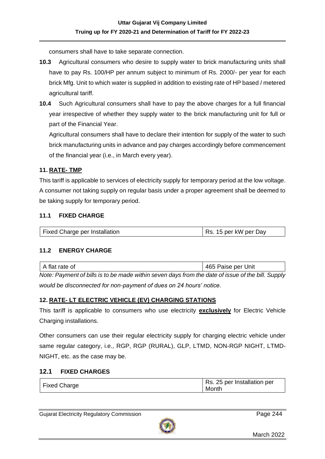consumers shall have to take separate connection.

- **10.3** Agricultural consumers who desire to supply water to brick manufacturing units shall have to pay Rs. 100/HP per annum subject to minimum of Rs. 2000/- per year for each brick Mfg. Unit to which water is supplied in addition to existing rate of HP based / metered agricultural tariff.
- **10.4** Such Agricultural consumers shall have to pay the above charges for a full financial year irrespective of whether they supply water to the brick manufacturing unit for full or part of the Financial Year.

Agricultural consumers shall have to declare their intention for supply of the water to such brick manufacturing units in advance and pay charges accordingly before commencement of the financial year (i.e., in March every year).

#### **11. RATE- TMP**

This tariff is applicable to services of electricity supply for temporary period at the low voltage. A consumer not taking supply on regular basis under a proper agreement shall be deemed to be taking supply for temporary period.

#### **11.1 FIXED CHARGE**

| <b>Fixed Charge per Installation</b> | Rs. 15 per kW per Day |
|--------------------------------------|-----------------------|
|--------------------------------------|-----------------------|

#### **11.2 ENERGY CHARGE**

| A flat rate of                                                                                    | 465 Paise per Unit |
|---------------------------------------------------------------------------------------------------|--------------------|
| Note: Payment of bills is to be made within seven days from the date of issue of the bill. Supply |                    |
| would be disconnected for non-payment of dues on 24 hours' notice.                                |                    |

#### **12. RATE- LT ELECTRIC VEHICLE (EV) CHARGING STATIONS**

This tariff is applicable to consumers who use electricity **exclusively** for Electric Vehicle Charging installations.

Other consumers can use their regular electricity supply for charging electric vehicle under same regular category, i.e., RGP, RGP (RURAL), GLP, LTMD, NON-RGP NIGHT, LTMD-NIGHT, etc. as the case may be.

#### **12.1 FIXED CHARGES**

| <b>Fixed Charge</b> | Rs. 25 per Installation per<br>Month |
|---------------------|--------------------------------------|
|                     |                                      |

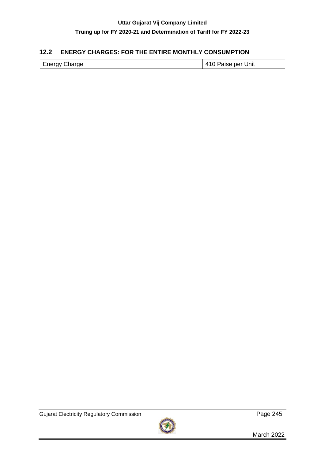## **12.2 ENERGY CHARGES: FOR THE ENTIRE MONTHLY CONSUMPTION**

| <b>Energy Charge</b> |
|----------------------|
|----------------------|

410 Paise per Unit

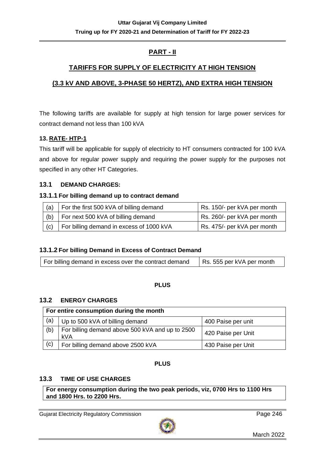## **PART - II**

## **TARIFFS FOR SUPPLY OF ELECTRICITY AT HIGH TENSION**

## **(3.3 kV AND ABOVE, 3-PHASE 50 HERTZ), AND EXTRA HIGH TENSION**

The following tariffs are available for supply at high tension for large power services for contract demand not less than 100 kVA

### **13. RATE- HTP-1**

This tariff will be applicable for supply of electricity to HT consumers contracted for 100 kVA and above for regular power supply and requiring the power supply for the purposes not specified in any other HT Categories.

### **13.1 DEMAND CHARGES:**

#### **13.1.1 For billing demand up to contract demand**

| (a) | For the first 500 kVA of billing demand  | Rs. 150/- per kVA per month |
|-----|------------------------------------------|-----------------------------|
| (b) | For next 500 kVA of billing demand       | Rs. 260/- per kVA per month |
| (c) | For billing demand in excess of 1000 kVA | Rs. 475/- per kVA per month |

## **13.1.2 For billing Demand in Excess of Contract Demand**

| For billing demand in excess over the contract demand | Rs. 555 per kVA per month |
|-------------------------------------------------------|---------------------------|
|-------------------------------------------------------|---------------------------|

#### **PLUS**

#### **13.2 ENERGY CHARGES**

| For entire consumption during the month |                                                        |                    |
|-----------------------------------------|--------------------------------------------------------|--------------------|
| (a)                                     | Up to 500 kVA of billing demand                        | 400 Paise per unit |
| (b)                                     | For billing demand above 500 kVA and up to 2500<br>kVA | 420 Paise per Unit |
| (c)                                     | For billing demand above 2500 kVA                      | 430 Paise per Unit |

## **PLUS**

#### **13.3 TIME OF USE CHARGES**

**For energy consumption during the two peak periods, viz, 0700 Hrs to 1100 Hrs and 1800 Hrs. to 2200 Hrs.**

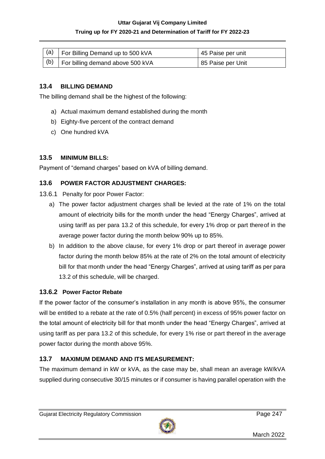### **Truing up for FY 2020-21 and Determination of Tariff for FY 2022-23**

| $\vert$ (a) For Billing Demand up to 500 kVA | 45 Paise per unit |
|----------------------------------------------|-------------------|
| $ (b)$   For billing demand above 500 kVA    | 85 Paise per Unit |

## **13.4 BILLING DEMAND**

The billing demand shall be the highest of the following:

- a) Actual maximum demand established during the month
- b) Eighty-five percent of the contract demand
- c) One hundred kVA

## **13.5 MINIMUM BILLS:**

Payment of "demand charges" based on kVA of billing demand.

## **13.6 POWER FACTOR ADJUSTMENT CHARGES:**

- 13.6.1 Penalty for poor Power Factor:
	- a) The power factor adjustment charges shall be levied at the rate of 1% on the total amount of electricity bills for the month under the head "Energy Charges", arrived at using tariff as per para 13.2 of this schedule, for every 1% drop or part thereof in the average power factor during the month below 90% up to 85%.
	- b) In addition to the above clause, for every 1% drop or part thereof in average power factor during the month below 85% at the rate of 2% on the total amount of electricity bill for that month under the head "Energy Charges", arrived at using tariff as per para 13.2 of this schedule, will be charged.

## **13.6.2 Power Factor Rebate**

If the power factor of the consumer's installation in any month is above 95%, the consumer will be entitled to a rebate at the rate of 0.5% (half percent) in excess of 95% power factor on the total amount of electricity bill for that month under the head "Energy Charges", arrived at using tariff as per para 13.2 of this schedule, for every 1% rise or part thereof in the average power factor during the month above 95%.

## **13.7 MAXIMUM DEMAND AND ITS MEASUREMENT:**

The maximum demand in kW or kVA, as the case may be, shall mean an average kW/kVA supplied during consecutive 30/15 minutes or if consumer is having parallel operation with the

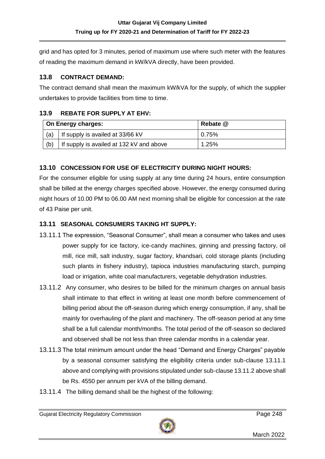grid and has opted for 3 minutes, period of maximum use where such meter with the features of reading the maximum demand in kW/kVA directly, have been provided.

## **13.8 CONTRACT DEMAND:**

The contract demand shall mean the maximum kW/kVA for the supply, of which the supplier undertakes to provide facilities from time to time.

## **13.9 REBATE FOR SUPPLY AT EHV:**

|     | On Energy charges:                       | Rebate @ |
|-----|------------------------------------------|----------|
| (a) | If supply is availed at 33/66 kV         | 0.75%    |
| (b) | If supply is availed at 132 kV and above | 1.25%    |

## **13.10 CONCESSION FOR USE OF ELECTRICITY DURING NIGHT HOURS:**

For the consumer eligible for using supply at any time during 24 hours, entire consumption shall be billed at the energy charges specified above. However, the energy consumed during night hours of 10.00 PM to 06.00 AM next morning shall be eligible for concession at the rate of 43 Paise per unit.

## **13.11 SEASONAL CONSUMERS TAKING HT SUPPLY:**

- 13.11.1 The expression, "Seasonal Consumer", shall mean a consumer who takes and uses power supply for ice factory, ice-candy machines, ginning and pressing factory, oil mill, rice mill, salt industry, sugar factory, khandsari, cold storage plants (including such plants in fishery industry), tapioca industries manufacturing starch, pumping load or irrigation, white coal manufacturers, vegetable dehydration industries.
- 13.11.2 Any consumer, who desires to be billed for the minimum charges on annual basis shall intimate to that effect in writing at least one month before commencement of billing period about the off-season during which energy consumption, if any, shall be mainly for overhauling of the plant and machinery. The off-season period at any time shall be a full calendar month/months. The total period of the off-season so declared and observed shall be not less than three calendar months in a calendar year.
- 13.11.3 The total minimum amount under the head "Demand and Energy Charges" payable by a seasonal consumer satisfying the eligibility criteria under sub-clause 13.11.1 above and complying with provisions stipulated under sub-clause 13.11.2 above shall be Rs. 4550 per annum per kVA of the billing demand.
- 13.11.4 The billing demand shall be the highest of the following:

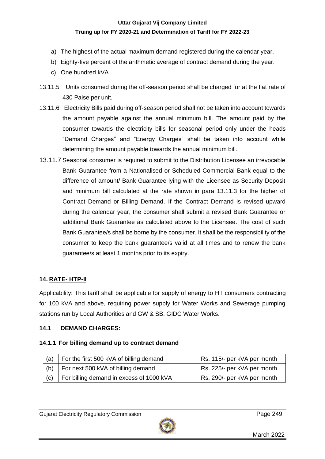- a) The highest of the actual maximum demand registered during the calendar year.
- b) Eighty-five percent of the arithmetic average of contract demand during the year.
- c) One hundred kVA
- 13.11.5 Units consumed during the off-season period shall be charged for at the flat rate of 430 Paise per unit.
- 13.11.6 Electricity Bills paid during off-season period shall not be taken into account towards the amount payable against the annual minimum bill. The amount paid by the consumer towards the electricity bills for seasonal period only under the heads "Demand Charges" and "Energy Charges" shall be taken into account while determining the amount payable towards the annual minimum bill.
- 13.11.7 Seasonal consumer is required to submit to the Distribution Licensee an irrevocable Bank Guarantee from a Nationalised or Scheduled Commercial Bank equal to the difference of amount/ Bank Guarantee lying with the Licensee as Security Deposit and minimum bill calculated at the rate shown in para 13.11.3 for the higher of Contract Demand or Billing Demand. If the Contract Demand is revised upward during the calendar year, the consumer shall submit a revised Bank Guarantee or additional Bank Guarantee as calculated above to the Licensee. The cost of such Bank Guarantee/s shall be borne by the consumer. It shall be the responsibility of the consumer to keep the bank guarantee/s valid at all times and to renew the bank guarantee/s at least 1 months prior to its expiry.

## **14. RATE- HTP-II**

Applicability: This tariff shall be applicable for supply of energy to HT consumers contracting for 100 kVA and above, requiring power supply for Water Works and Sewerage pumping stations run by Local Authorities and GW & SB. GIDC Water Works.

#### **14.1 DEMAND CHARGES:**

#### **14.1.1 For billing demand up to contract demand**

| (a) | For the first 500 kVA of billing demand  | Rs. 115/- per kVA per month |
|-----|------------------------------------------|-----------------------------|
| (b) | For next 500 kVA of billing demand       | Rs. 225/- per kVA per month |
| (c) | For billing demand in excess of 1000 kVA | Rs. 290/- per kVA per month |

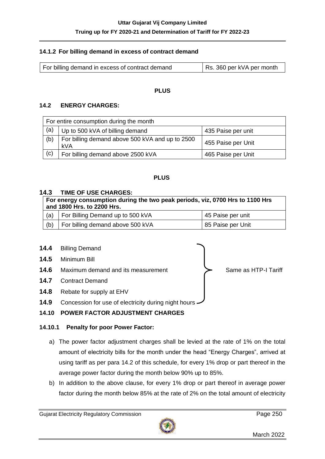#### **14.1.2 For billing demand in excess of contract demand**

| For billing demand in excess of contract demand | Rs. 360 per kVA per month |
|-------------------------------------------------|---------------------------|
|-------------------------------------------------|---------------------------|

#### **PLUS**

#### **14.2 ENERGY CHARGES:**

| For entire consumption during the month |                                                        |                    |
|-----------------------------------------|--------------------------------------------------------|--------------------|
| (a)                                     | Up to 500 kVA of billing demand                        | 435 Paise per unit |
| (b)                                     | For billing demand above 500 kVA and up to 2500<br>kVA | 455 Paise per Unit |
| (c)                                     | For billing demand above 2500 kVA                      | 465 Paise per Unit |

#### **PLUS**

#### **14.3 TIME OF USE CHARGES:**

| For energy consumption during the two peak periods, viz, 0700 Hrs to 1100 Hrs<br>and 1800 Hrs. to 2200 Hrs. |                                  |                   |
|-------------------------------------------------------------------------------------------------------------|----------------------------------|-------------------|
| (a)                                                                                                         | For Billing Demand up to 500 kVA | 45 Paise per unit |
| (b)                                                                                                         | For billing demand above 500 kVA | 85 Paise per Unit |



## **14.10 POWER FACTOR ADJUSTMENT CHARGES**

#### **14.10.1 Penalty for poor Power Factor:**

- a) The power factor adjustment charges shall be levied at the rate of 1% on the total amount of electricity bills for the month under the head "Energy Charges", arrived at using tariff as per para 14.2 of this schedule, for every 1% drop or part thereof in the average power factor during the month below 90% up to 85%.
- b) In addition to the above clause, for every 1% drop or part thereof in average power factor during the month below 85% at the rate of 2% on the total amount of electricity

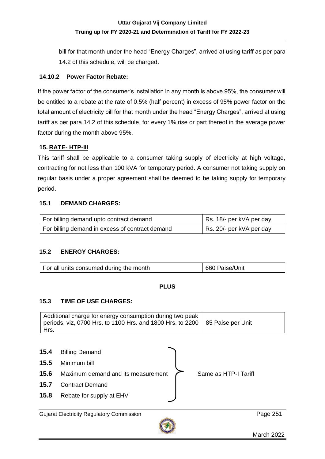bill for that month under the head "Energy Charges", arrived at using tariff as per para 14.2 of this schedule, will be charged.

#### **14.10.2 Power Factor Rebate:**

If the power factor of the consumer's installation in any month is above 95%, the consumer will be entitled to a rebate at the rate of 0.5% (half percent) in excess of 95% power factor on the total amount of electricity bill for that month under the head "Energy Charges", arrived at using tariff as per para 14.2 of this schedule, for every 1% rise or part thereof in the average power factor during the month above 95%.

#### **15. RATE- HTP-III**

This tariff shall be applicable to a consumer taking supply of electricity at high voltage, contracting for not less than 100 kVA for temporary period. A consumer not taking supply on regular basis under a proper agreement shall be deemed to be taking supply for temporary period.

#### **15.1 DEMAND CHARGES:**

| For billing demand upto contract demand         | Rs. 18/- per kVA per day |
|-------------------------------------------------|--------------------------|
| For billing demand in excess of contract demand | Rs. 20/- per kVA per day |

## **15.2 ENERGY CHARGES:**

| For all units consumed during the month | 660 Paise/Unit |
|-----------------------------------------|----------------|
|                                         |                |

#### **PLUS**

#### **15.3 TIME OF USE CHARGES:**

| Additional charge for energy consumption during two peak<br>periods, viz, 0700 Hrs. to 1100 Hrs. and 1800 Hrs. to 2200 $\,$ 85 Paise per Unit |  |
|-----------------------------------------------------------------------------------------------------------------------------------------------|--|
| Hrs.                                                                                                                                          |  |

| 15.4 | <b>Billing Demand</b>              |                      |
|------|------------------------------------|----------------------|
| 15.5 | Minimum bill                       |                      |
| 15.6 | Maximum demand and its measurement | Same as HTP-I Tariff |
| 15.7 | <b>Contract Demand</b>             |                      |
| 15.8 | Rebate for supply at EHV           |                      |

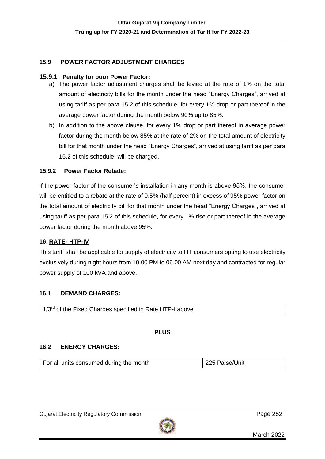#### **15.9 POWER FACTOR ADJUSTMENT CHARGES**

#### **15.9.1 Penalty for poor Power Factor:**

- a) The power factor adjustment charges shall be levied at the rate of 1% on the total amount of electricity bills for the month under the head "Energy Charges", arrived at using tariff as per para 15.2 of this schedule, for every 1% drop or part thereof in the average power factor during the month below 90% up to 85%.
- b) In addition to the above clause, for every 1% drop or part thereof in average power factor during the month below 85% at the rate of 2% on the total amount of electricity bill for that month under the head "Energy Charges", arrived at using tariff as per para 15.2 of this schedule, will be charged.

#### **15.9.2 Power Factor Rebate:**

If the power factor of the consumer's installation in any month is above 95%, the consumer will be entitled to a rebate at the rate of 0.5% (half percent) in excess of 95% power factor on the total amount of electricity bill for that month under the head "Energy Charges", arrived at using tariff as per para 15.2 of this schedule, for every 1% rise or part thereof in the average power factor during the month above 95%.

#### **16. RATE- HTP-IV**

This tariff shall be applicable for supply of electricity to HT consumers opting to use electricity exclusively during night hours from 10.00 PM to 06.00 AM next day and contracted for regular power supply of 100 kVA and above.

#### **16.1 DEMAND CHARGES:**

#### **PLUS**

#### **16.2 ENERGY CHARGES:**

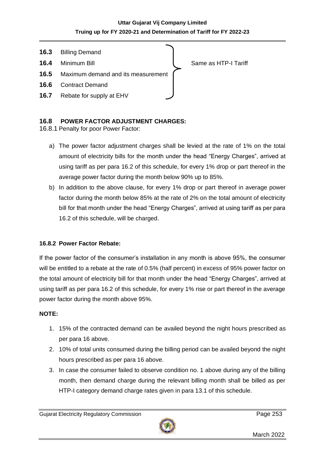

## **16.8 POWER FACTOR ADJUSTMENT CHARGES:**

16.8.1 Penalty for poor Power Factor:

- a) The power factor adjustment charges shall be levied at the rate of 1% on the total amount of electricity bills for the month under the head "Energy Charges", arrived at using tariff as per para 16.2 of this schedule, for every 1% drop or part thereof in the average power factor during the month below 90% up to 85%.
- b) In addition to the above clause, for every 1% drop or part thereof in average power factor during the month below 85% at the rate of 2% on the total amount of electricity bill for that month under the head "Energy Charges", arrived at using tariff as per para 16.2 of this schedule, will be charged.

## **16.8.2 Power Factor Rebate:**

If the power factor of the consumer's installation in any month is above 95%, the consumer will be entitled to a rebate at the rate of 0.5% (half percent) in excess of 95% power factor on the total amount of electricity bill for that month under the head "Energy Charges", arrived at using tariff as per para 16.2 of this schedule, for every 1% rise or part thereof in the average power factor during the month above 95%.

#### **NOTE:**

- 1. 15% of the contracted demand can be availed beyond the night hours prescribed as per para 16 above.
- 2. 10% of total units consumed during the billing period can be availed beyond the night hours prescribed as per para 16 above.
- 3. In case the consumer failed to observe condition no. 1 above during any of the billing month, then demand charge during the relevant billing month shall be billed as per HTP-I category demand charge rates given in para 13.1 of this schedule.

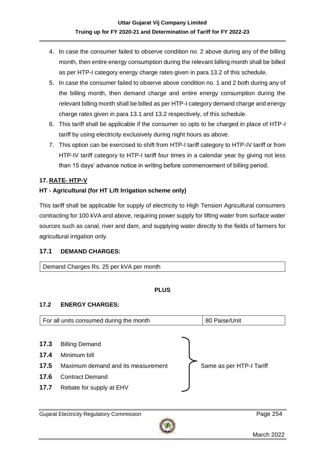- 4. In case the consumer failed to observe condition no. 2 above during any of the billing month, then entire energy consumption during the relevant billing month shall be billed as per HTP-I category energy charge rates given in para 13.2 of this schedule.
- 5. In case the consumer failed to observe above condition no. 1 and 2 both during any of the billing month, then demand charge and entire energy consumption during the relevant billing month shall be billed as per HTP-I category demand charge and energy charge rates given in para 13.1 and 13.2 respectively, of this schedule.
- 6. This tariff shall be applicable if the consumer so opts to be charged in place of HTP-I tariff by using electricity exclusively during night hours as above.
- 7. This option can be exercised to shift from HTP-I tariff category to HTP-IV tariff or from HTP-IV tariff category to HTP-I tariff four times in a calendar year by giving not less than 15 days' advance notice in writing before commencement of billing period.

## **17. RATE- HTP-V**

## **HT - Agricultural (for HT Lift Irrigation scheme only)**

This tariff shall be applicable for supply of electricity to High Tension Agricultural consumers contracting for 100 kVA and above, requiring power supply for lifting water from surface water sources such as canal, river and dam, and supplying water directly to the fields of farmers for agricultural irrigation only.

## **17.1 DEMAND CHARGES:**

Demand Charges Rs. 25 per kVA per month

## **PLUS**

## **17.2 ENERGY CHARGES:**

|      | For all units consumed during the month | 80 Paise/Unit            |
|------|-----------------------------------------|--------------------------|
| 17.3 |                                         |                          |
| 17.4 | <b>Billing Demand</b><br>Minimum bill   |                          |
| 17.5 | Maximum demand and its measurement      | Same as per HTP-I Tariff |
| 17.6 | <b>Contract Demand</b>                  |                          |
| 17.7 | Rebate for supply at EHV                |                          |
|      |                                         |                          |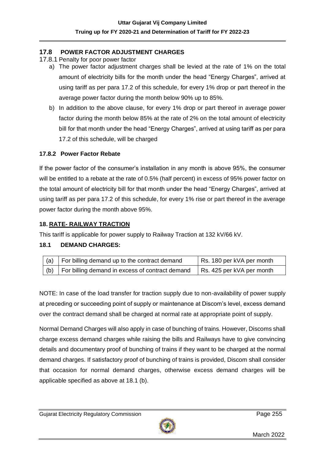### **17.8 POWER FACTOR ADJUSTMENT CHARGES**

- 17.8.1 Penalty for poor power factor
	- a) The power factor adjustment charges shall be levied at the rate of 1% on the total amount of electricity bills for the month under the head "Energy Charges", arrived at using tariff as per para 17.2 of this schedule, for every 1% drop or part thereof in the average power factor during the month below 90% up to 85%.
	- b) In addition to the above clause, for every 1% drop or part thereof in average power factor during the month below 85% at the rate of 2% on the total amount of electricity bill for that month under the head "Energy Charges", arrived at using tariff as per para 17.2 of this schedule, will be charged

#### **17.8.2 Power Factor Rebate**

If the power factor of the consumer's installation in any month is above 95%, the consumer will be entitled to a rebate at the rate of 0.5% (half percent) in excess of 95% power factor on the total amount of electricity bill for that month under the head "Energy Charges", arrived at using tariff as per para 17.2 of this schedule, for every 1% rise or part thereof in the average power factor during the month above 95%.

### **18. RATE- RAILWAY TRACTION**

This tariff is applicable for power supply to Railway Traction at 132 kV/66 kV.

#### **18.1 DEMAND CHARGES:**

|     | (a) $\vert$ For billing demand up to the contract demand | Rs. 180 per kVA per month |
|-----|----------------------------------------------------------|---------------------------|
| (b) | For billing demand in excess of contract demand          | Rs. 425 per kVA per month |

NOTE: In case of the load transfer for traction supply due to non-availability of power supply at preceding or succeeding point of supply or maintenance at Discom's level, excess demand over the contract demand shall be charged at normal rate at appropriate point of supply.

Normal Demand Charges will also apply in case of bunching of trains. However, Discoms shall charge excess demand charges while raising the bills and Railways have to give convincing details and documentary proof of bunching of trains if they want to be charged at the normal demand charges. If satisfactory proof of bunching of trains is provided, Discom shall consider that occasion for normal demand charges, otherwise excess demand charges will be applicable specified as above at 18.1 (b).

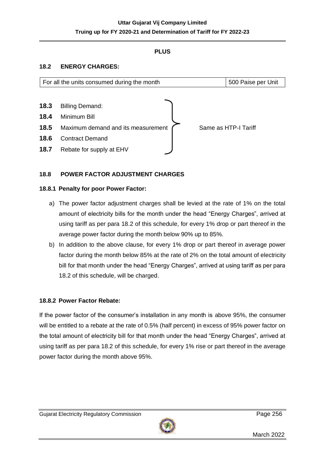## **PLUS**

### **18.2 ENERGY CHARGES:**

|      | For all the units consumed during the month | 500 Paise per Unit   |
|------|---------------------------------------------|----------------------|
|      |                                             |                      |
| 18.3 | <b>Billing Demand:</b>                      |                      |
| 18.4 | Minimum Bill                                |                      |
| 18.5 | Maximum demand and its measurement          | Same as HTP-I Tariff |
| 18.6 | <b>Contract Demand</b>                      |                      |
| 18.7 | Rebate for supply at EHV                    |                      |

### **18.8 POWER FACTOR ADJUSTMENT CHARGES**

#### **18.8.1 Penalty for poor Power Factor:**

- a) The power factor adjustment charges shall be levied at the rate of 1% on the total amount of electricity bills for the month under the head "Energy Charges", arrived at using tariff as per para 18.2 of this schedule, for every 1% drop or part thereof in the average power factor during the month below 90% up to 85%.
- b) In addition to the above clause, for every 1% drop or part thereof in average power factor during the month below 85% at the rate of 2% on the total amount of electricity bill for that month under the head "Energy Charges", arrived at using tariff as per para 18.2 of this schedule, will be charged.

#### **18.8.2 Power Factor Rebate:**

If the power factor of the consumer's installation in any month is above 95%, the consumer will be entitled to a rebate at the rate of 0.5% (half percent) in excess of 95% power factor on the total amount of electricity bill for that month under the head "Energy Charges", arrived at using tariff as per para 18.2 of this schedule, for every 1% rise or part thereof in the average power factor during the month above 95%.